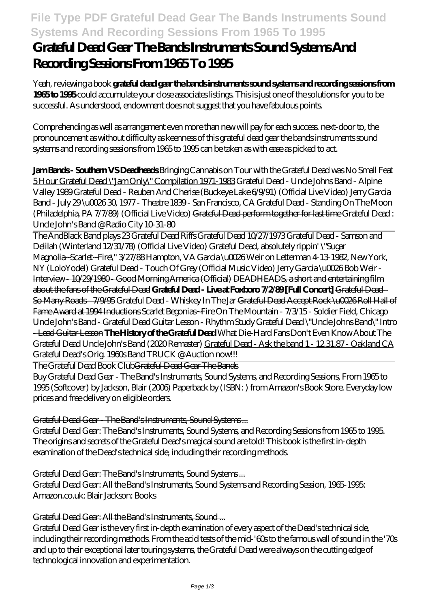# **File Type PDF Grateful Dead Gear The Bands Instruments Sound Systems And Recording Sessions From 1965 To 1995**

# **Grateful Dead Gear The Bands Instruments Sound Systems And Recording Sessions From 1965 To 1995**

Yeah, reviewing a book **grateful dead gear the bands instruments sound systems and recording sessions from 1965 to 1995** could accumulate your close associates listings. This is just one of the solutions for you to be successful. As understood, endowment does not suggest that you have fabulous points.

Comprehending as well as arrangement even more than new will pay for each success. next-door to, the pronouncement as without difficulty as keenness of this grateful dead gear the bands instruments sound systems and recording sessions from 1965 to 1995 can be taken as with ease as picked to act.

**Jam Bands - Southern VS Deadheads** Bringing Cannabis on Tour with the Grateful Dead was No Small Feat 5 Hour Grateful Dead \"Jam Only\" Compilation 1971-1983 *Grateful Dead - Uncle Johns Band - Alpine Valley 1989* Grateful Dead - Reuben And Cherise (Buckeye Lake 6/9/91) (Official Live Video) *Jerry Garcia Band - July 29 \u0026 30, 1977 - Theatre 1839 - San Francisco, CA Grateful Dead - Standing On The Moon (Philadelphia, PA 7/7/89) (Official Live Video)* Grateful Dead perform together for last time Grateful Dead : Uncle John's Band @ Radio City 10-31-80

The AndBlack Band plays 23 Grateful Dead Riffs Grateful Dead 10/27/1973 Grateful Dead - Samson and Delilah (Winterland 12/31/78) (Official Live Video) Grateful Dead, absolutely rippin' \"Sugar Magnolia~Scarlet~Fire\" 3/27/88 Hampton, VA *Garcia \u0026 Weir on Letterman 4-13-1982, New York, NY (LoloYodel) Grateful Dead - Touch Of Grey (Official Music Video)* Jerry Garcia \u0026 Bob Weir - Interview - 10/29/1980 - Good Morning America (Official) DEADHEADS, a short and entertaining film about the fans of the Grateful Dead **Grateful Dead - Live at Foxboro 7/2/89 [Full Concert]** Grateful Dead - So Many Roads - 7/9/95 *Grateful Dead - Whiskey In The Jar* Grateful Dead Accept Rock \u0026 Roll Hall of Fame Award at 1994 Inductions Scarlet Begonias~Fire On The Mountain - 7/3/15 - Soldier Field, Chicago Uncle John's Band - Grateful Dead Guitar Lesson - Rhythm Study Grateful Dead \"Uncle Johns Band\" Intro - Lead Guitar Lesson **The History of the Grateful Dead** What Die-Hard Fans Don't Even Know About The Grateful Dead Uncle John's Band (2020 Remaster) Grateful Dead - Ask the band 1 - 12.31.87 - Oakland CA Grateful Dead's Orig. 1960s Band TRUCK @ Auction now!!!

The Grateful Dead Book ClubGrateful Dead Gear The Bands

Buy Grateful Dead Gear - The Band's Instruments, Sound Systems, and Recording Sessions, From 1965 to 1995 (Softcover) by Jackson, Blair (2006) Paperback by (ISBN: ) from Amazon's Book Store. Everyday low prices and free delivery on eligible orders.

### Grateful Dead Gear - The Band's Instruments, Sound Systems ...

Grateful Dead Gear: The Band's Instruments, Sound Systems, and Recording Sessions from 1965 to 1995. The origins and secrets of the Grateful Dead's magical sound are told! This book is the first in-depth examination of the Dead's technical side, including their recording methods.

### Grateful Dead Gear: The Band's Instruments, Sound Systems ...

Grateful Dead Gear: All the Band's Instruments, Sound Systems and Recording Session, 1965-1995: Amazon.co.uk: Blair Jackson: Books

### Grateful Dead Gear: All the Band's Instruments, Sound ...

Grateful Dead Gear is the very first in-depth examination of every aspect of the Dead's technical side, including their recording methods. From the acid tests of the mid-'60s to the famous wall of sound in the '70s and up to their exceptional later touring systems, the Grateful Dead were always on the cutting edge of technological innovation and experimentation.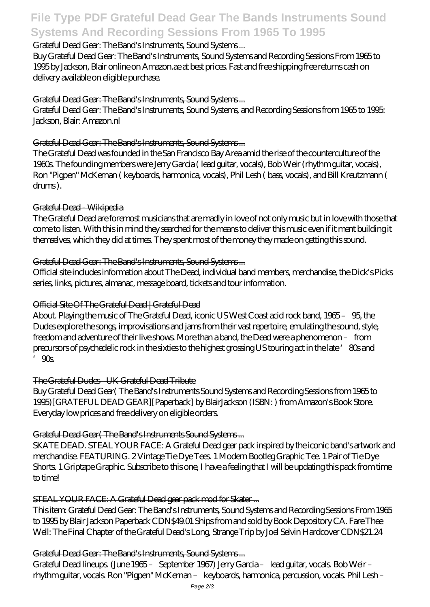# **File Type PDF Grateful Dead Gear The Bands Instruments Sound Systems And Recording Sessions From 1965 To 1995**

#### Grateful Dead Gear: The Band's Instruments, Sound Systems ...

Buy Grateful Dead Gear: The Band's Instruments, Sound Systems and Recording Sessions From 1965 to 1995 by Jackson, Blair online on Amazon.ae at best prices. Fast and free shipping free returns cash on delivery available on eligible purchase.

#### Grateful Dead Gear: The Band's Instruments, Sound Systems ...

Grateful Dead Gear: The Band's Instruments, Sound Systems, and Recording Sessions from 1965 to 1995: Jackson, Blair: Amazon.nl

#### Grateful Dead Gear: The Band's Instruments, Sound Systems ...

The Grateful Dead was founded in the San Francisco Bay Area amid the rise of the counterculture of the 1960s. The founding members were Jerry Garcia ( lead guitar, vocals), Bob Weir (rhythm guitar, vocals), Ron "Pigpen" McKernan ( keyboards, harmonica, vocals), Phil Lesh ( bass, vocals), and Bill Kreutzmann ( drums ).

#### Grateful Dead - Wikipedia

The Grateful Dead are foremost musicians that are madly in love of not only music but in love with those that come to listen. With this in mind they searched for the means to deliver this music even if it ment building it themselves, which they did at times. They spent most of the money they made on getting this sound.

#### Grateful Dead Gear: The Band's Instruments, Sound Systems ...

Official site includes information about The Dead, individual band members, merchandise, the Dick's Picks series, links, pictures, almanac, message board, tickets and tour information.

#### Official Site Of The Grateful Dead | Grateful Dead

About. Playing the music of The Grateful Dead, iconic US West Coast acid rock band, 1965 – 95, the Dudes explore the songs, improvisations and jams from their vast repertoire, emulating the sound, style, freedom and adventure of their live shows. More than a band, the Dead were a phenomenon – from precursors of psychedelic rock in the sixties to the highest grossing US touring act in the late '80s and  $'$  90s.

#### The Grateful Dudes - UK Grateful Dead Tribute

Buy Grateful Dead Gear( The Band's Instruments Sound Systems and Recording Sessions from 1965 to 1995)[GRATEFUL DEAD GEAR][Paperback] by BlairJackson (ISBN: ) from Amazon's Book Store. Everyday low prices and free delivery on eligible orders.

### Grateful Dead Gear(The Band's Instruments Sound Systems...

SKATE DEAD. STEAL YOUR FACE: A Grateful Dead gear pack inspired by the iconic band's artwork and merchandise. FEATURING. 2 Vintage Tie Dye Tees. 1 Modern Bootleg Graphic Tee. 1 Pair of Tie Dye Shorts. 1 Griptape Graphic. Subscribe to this one, I have a feeling that I will be updating this pack from time to time!

### STEAL YOUR FACE: A Grateful Dead gear pack mod for Skater ...

This item: Grateful Dead Gear: The Band's Instruments, Sound Systems and Recording Sessions From 1965 to 1995 by Blair Jackson Paperback CDN\$49.01 Ships from and sold by Book Depository CA. Fare Thee Well: The Final Chapter of the Grateful Dead's Long, Strange Trip by Joel Selvin Hardcover CDN\$21.24

#### Grateful Dead Gear: The Band's Instruments, Sound Systems ...

Grateful Dead lineups. (June 1965 – September 1967) Jerry Garcia – lead guitar, vocals. Bob Weir – rhythm guitar, vocals. Ron "Pigpen" McKernan – keyboards, harmonica, percussion, vocals. Phil Lesh –